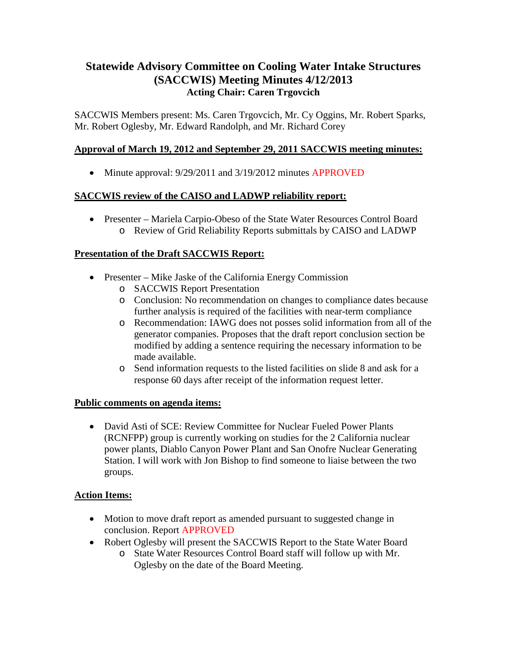# **Statewide Advisory Committee on Cooling Water Intake Structures (SACCWIS) Meeting Minutes 4/12/2013 Acting Chair: Caren Trgovcich**

SACCWIS Members present: Ms. Caren Trgovcich, Mr. Cy Oggins, Mr. Robert Sparks, Mr. Robert Oglesby, Mr. Edward Randolph, and Mr. Richard Corey

# **Approval of March 19, 2012 and September 29, 2011 SACCWIS meeting minutes:**

• Minute approval:  $9/29/2011$  and  $3/19/2012$  minutes APPROVED

## **SACCWIS review of the CAISO and LADWP reliability report:**

• Presenter – Mariela Carpio-Obeso of the State Water Resources Control Board o Review of Grid Reliability Reports submittals by CAISO and LADWP

## **Presentation of the Draft SACCWIS Report:**

- Presenter Mike Jaske of the California Energy Commission
	- o SACCWIS Report Presentation
	- o Conclusion: No recommendation on changes to compliance dates because further analysis is required of the facilities with near-term compliance
	- o Recommendation: IAWG does not posses solid information from all of the generator companies. Proposes that the draft report conclusion section be modified by adding a sentence requiring the necessary information to be made available.
	- o Send information requests to the listed facilities on slide 8 and ask for a response 60 days after receipt of the information request letter.

## **Public comments on agenda items:**

• David Asti of SCE: Review Committee for Nuclear Fueled Power Plants (RCNFPP) group is currently working on studies for the 2 California nuclear power plants, Diablo Canyon Power Plant and San Onofre Nuclear Generating Station. I will work with Jon Bishop to find someone to liaise between the two groups.

## **Action Items:**

- Motion to move draft report as amended pursuant to suggested change in conclusion. Report APPROVED
- Robert Oglesby will present the SACCWIS Report to the State Water Board
	- o State Water Resources Control Board staff will follow up with Mr. Oglesby on the date of the Board Meeting.